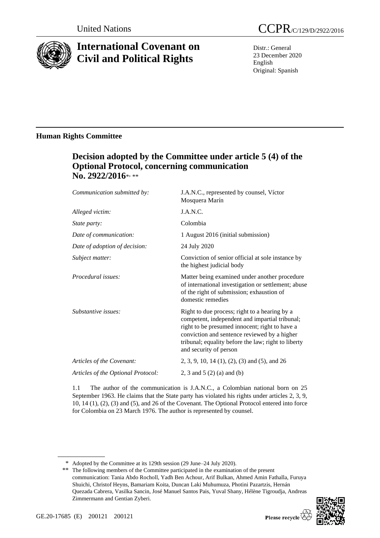

# **International Covenant on Civil and Political Rights**

Distr.: General 23 December 2020 English Original: Spanish

### **Human Rights Committee**

## **Decision adopted by the Committee under article 5 (4) of the Optional Protocol, concerning communication**  No. 2922/2016\*<sub>\*\*\*</sub>

| Communication submitted by:        | J.A.N.C., represented by counsel, Víctor<br>Mosquera Marín                                                                                                                                                                                                                         |
|------------------------------------|------------------------------------------------------------------------------------------------------------------------------------------------------------------------------------------------------------------------------------------------------------------------------------|
| Alleged victim:                    | J.A.N.C.                                                                                                                                                                                                                                                                           |
| <i>State party:</i>                | Colombia                                                                                                                                                                                                                                                                           |
| Date of communication:             | 1 August 2016 (initial submission)                                                                                                                                                                                                                                                 |
| Date of adoption of decision:      | 24 July 2020                                                                                                                                                                                                                                                                       |
| Subject matter:                    | Conviction of senior official at sole instance by<br>the highest judicial body                                                                                                                                                                                                     |
| Procedural issues:                 | Matter being examined under another procedure<br>of international investigation or settlement; abuse<br>of the right of submission; exhaustion of<br>domestic remedies                                                                                                             |
| Substantive issues:                | Right to due process; right to a hearing by a<br>competent, independent and impartial tribunal;<br>right to be presumed innocent; right to have a<br>conviction and sentence reviewed by a higher<br>tribunal; equality before the law; right to liberty<br>and security of person |
| Articles of the Covenant:          | 2, 3, 9, 10, 14 (1), (2), (3) and (5), and 26                                                                                                                                                                                                                                      |
| Articles of the Optional Protocol: | 2, 3 and 5 $(2)$ (a) and (b)                                                                                                                                                                                                                                                       |
|                                    |                                                                                                                                                                                                                                                                                    |

1.1 The author of the communication is J.A.N.C., a Colombian national born on 25 September 1963. He claims that the State party has violated his rights under articles 2, 3, 9, 10, 14 (1), (2), (3) and (5), and 26 of the Covenant. The Optional Protocol entered into force for Colombia on 23 March 1976. The author is represented by counsel.

<sup>\*\*</sup> The following members of the Committee participated in the examination of the present communication: Tania Abdo Rocholl, Yadh Ben Achour, Arif Bulkan, Ahmed Amin Fathalla, Furuya Shuichi, Christof Heyns, Bamariam Koita, Duncan Laki Muhumuza, Photini Pazartzis, Hernán Quezada Cabrera, Vasilka Sancin, José Manuel Santos Pais, Yuval Shany, Hélène Tigroudja, Andreas Zimmermann and Gentian Zyberi.



<sup>\*</sup> Adopted by the Committee at its 129th session (29 June–24 July 2020).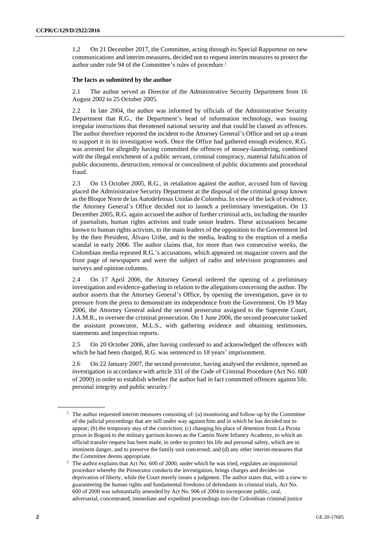1.2 On 21 December 2017, the Committee, acting through its Special Rapporteur on new communications and interim measures, decided not to request interim measures to protect the author under rule 94 of the Committee's rules of procedure.<sup>1</sup>

#### **The facts as submitted by the author**

2.1 The author served as Director of the Administrative Security Department from 16 August 2002 to 25 October 2005.

2.2 In late 2004, the author was informed by officials of the Administrative Security Department that R.G., the Department's head of information technology, was issuing irregular instructions that threatened national security and that could be classed as offences. The author therefore reported the incident to the Attorney General's Office and set up a team to support it in its investigative work. Once the Office had gathered enough evidence, R.G. was arrested for allegedly having committed the offences of money-laundering, combined with the illegal enrichment of a public servant, criminal conspiracy, material falsification of public documents, destruction, removal or concealment of public documents and procedural fraud.

2.3 On 13 October 2005, R.G., in retaliation against the author, accused him of having placed the Administrative Security Department at the disposal of the criminal group known as the Bloque Norte de las Autodefensas Unidas de Colombia. In view of the lack of evidence, the Attorney General's Office decided not to launch a preliminary investigation. On 13 December 2005, R.G. again accused the author of further criminal acts, including the murder of journalists, human rights activists and trade union leaders. These accusations became known to human rights activists, to the main leaders of the opposition to the Government led by the then President, Álvaro Uribe, and to the media, leading to the eruption of a media scandal in early 2006. The author claims that, for more than two consecutive weeks, the Colombian media repeated R.G.'s accusations, which appeared on magazine covers and the front page of newspapers and were the subject of radio and television programmes and surveys and opinion columns.

2.4 On 17 April 2006, the Attorney General ordered the opening of a preliminary investigation and evidence-gathering in relation to the allegations concerning the author. The author asserts that the Attorney General's Office, by opening the investigation, gave in to pressure from the press to demonstrate its independence from the Government. On 19 May 2006, the Attorney General asked the second prosecutor assigned to the Supreme Court, J.A.M.R., to oversee the criminal prosecution. On 1 June 2006, the second prosecutor tasked the assistant prosecutor, M.L.S., with gathering evidence and obtaining testimonies, statements and inspection reports.

2.5 On 20 October 2006, after having confessed to and acknowledged the offences with which he had been charged, R.G. was sentenced to 18 years' imprisonment.

2.6 On 22 January 2007, the second prosecutor, having analysed the evidence, opened an investigation in accordance with article 331 of the Code of Criminal Procedure (Act No. 600 of 2000) in order to establish whether the author had in fact committed offences against life, personal integrity and public security.<sup>2</sup>

 $1$  The author requested interim measures consisting of: (a) monitoring and follow-up by the Committee of the judicial proceedings that are still under way against him and in which he has decided not to appear; (b) the temporary stay of the conviction; (c) changing his place of detention from La Picota prison in Bogotá to the military garrison known as the Cantón Norte Infantry Academy, to which an official transfer request has been made, in order to protect his life and personal safety, which are in imminent danger, and to preserve the family unit concerned; and (d) any other interim measures that the Committee deems appropriate.

<sup>&</sup>lt;sup>2</sup> The author explains that Act No. 600 of 2000, under which he was tried, regulates an inquisitorial procedure whereby the Prosecutor conducts the investigation, brings charges and decides on deprivation of liberty, while the Court merely issues a judgment. The author states that, with a view to guaranteeing the human rights and fundamental freedoms of defendants in criminal trials, Act No. 600 of 2000 was substantially amended by Act No. 906 of 2004 to incorporate public, oral, adversarial, concentrated, immediate and expedited proceedings into the Colombian criminal justice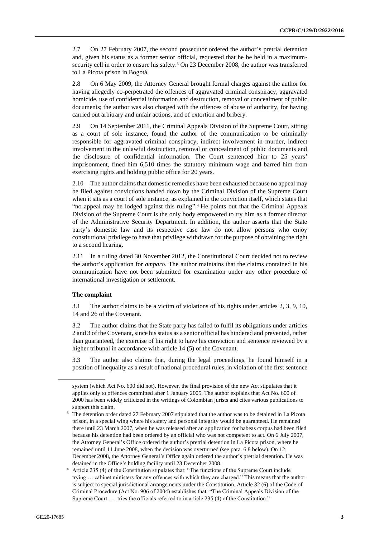2.7 On 27 February 2007, the second prosecutor ordered the author's pretrial detention and, given his status as a former senior official, requested that he be held in a maximumsecurity cell in order to ensure his safety.<sup>3</sup> On 23 December 2008, the author was transferred to La Picota prison in Bogotá.

2.8 On 6 May 2009, the Attorney General brought formal charges against the author for having allegedly co-perpetrated the offences of aggravated criminal conspiracy, aggravated homicide, use of confidential information and destruction, removal or concealment of public documents; the author was also charged with the offences of abuse of authority, for having carried out arbitrary and unfair actions, and of extortion and bribery.

2.9 On 14 September 2011, the Criminal Appeals Division of the Supreme Court, sitting as a court of sole instance, found the author of the communication to be criminally responsible for aggravated criminal conspiracy, indirect involvement in murder, indirect involvement in the unlawful destruction, removal or concealment of public documents and the disclosure of confidential information. The Court sentenced him to 25 years' imprisonment, fined him 6,510 times the statutory minimum wage and barred him from exercising rights and holding public office for 20 years.

2.10 The author claims that domestic remedies have been exhausted because no appeal may be filed against convictions handed down by the Criminal Division of the Supreme Court when it sits as a court of sole instance, as explained in the conviction itself, which states that "no appeal may be lodged against this ruling". <sup>4</sup> He points out that the Criminal Appeals Division of the Supreme Court is the only body empowered to try him as a former director of the Administrative Security Department. In addition, the author asserts that the State party's domestic law and its respective case law do not allow persons who enjoy constitutional privilege to have that privilege withdrawn for the purpose of obtaining the right to a second hearing.

2.11 In a ruling dated 30 November 2012, the Constitutional Court decided not to review the author's application for *amparo*. The author maintains that the claims contained in his communication have not been submitted for examination under any other procedure of international investigation or settlement.

#### **The complaint**

3.1 The author claims to be a victim of violations of his rights under articles 2, 3, 9, 10, 14 and 26 of the Covenant.

3.2 The author claims that the State party has failed to fulfil its obligations under articles 2 and 3 of the Covenant, since his status as a senior official has hindered and prevented, rather than guaranteed, the exercise of his right to have his conviction and sentence reviewed by a higher tribunal in accordance with article 14 (5) of the Covenant.

3.3 The author also claims that, during the legal proceedings, he found himself in a position of inequality as a result of national procedural rules, in violation of the first sentence

system (which Act No. 600 did not). However, the final provision of the new Act stipulates that it applies only to offences committed after 1 January 2005. The author explains that Act No. 600 of 2000 has been widely criticized in the writings of Colombian jurists and cites various publications to support this claim.

<sup>&</sup>lt;sup>3</sup> The detention order dated 27 February 2007 stipulated that the author was to be detained in La Picota prison, in a special wing where his safety and personal integrity would be guaranteed. He remained there until 23 March 2007, when he was released after an application for habeas corpus had been filed because his detention had been ordered by an official who was not competent to act. On 6 July 2007, the Attorney General's Office ordered the author's pretrial detention in La Picota prison, where he remained until 11 June 2008, when the decision was overturned (see para. 6.8 below). On 12 December 2008, the Attorney General's Office again ordered the author's pretrial detention. He was detained in the Office's holding facility until 23 December 2008.

<sup>4</sup> Article 235 (4) of the Constitution stipulates that: "The functions of the Supreme Court include trying … cabinet ministers for any offences with which they are charged." This means that the author is subject to special jurisdictional arrangements under the Constitution. Article 32 (6) of the Code of Criminal Procedure (Act No. 906 of 2004) establishes that: "The Criminal Appeals Division of the Supreme Court: … tries the officials referred to in article 235 (4) of the Constitution."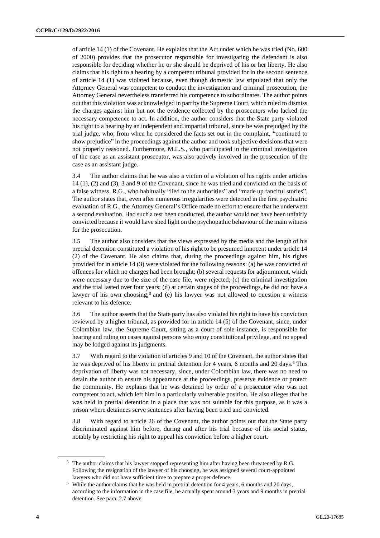of article 14 (1) of the Covenant. He explains that the Act under which he was tried (No. 600 of 2000) provides that the prosecutor responsible for investigating the defendant is also responsible for deciding whether he or she should be deprived of his or her liberty. He also claims that his right to a hearing by a competent tribunal provided for in the second sentence of article 14 (1) was violated because, even though domestic law stipulated that only the Attorney General was competent to conduct the investigation and criminal prosecution, the Attorney General nevertheless transferred his competence to subordinates. The author points out that this violation was acknowledged in part by the Supreme Court, which ruled to dismiss the charges against him but not the evidence collected by the prosecutors who lacked the necessary competence to act. In addition, the author considers that the State party violated his right to a hearing by an independent and impartial tribunal, since he was prejudged by the trial judge, who, from when he considered the facts set out in the complaint, "continued to show prejudice" in the proceedings against the author and took subjective decisions that were not properly reasoned. Furthermore, M.L.S., who participated in the criminal investigation of the case as an assistant prosecutor, was also actively involved in the prosecution of the case as an assistant judge.

3.4 The author claims that he was also a victim of a violation of his rights under articles 14 (1), (2) and (3), 3 and 9 of the Covenant, since he was tried and convicted on the basis of a false witness, R.G., who habitually "lied to the authorities" and "made up fanciful stories". The author states that, even after numerous irregularities were detected in the first psychiatric evaluation of R.G., the Attorney General's Office made no effort to ensure that he underwent a second evaluation. Had such a test been conducted, the author would not have been unfairly convicted because it would have shed light on the psychopathic behaviour of the main witness for the prosecution.

3.5 The author also considers that the views expressed by the media and the length of his pretrial detention constituted a violation of his right to be presumed innocent under article 14 (2) of the Covenant. He also claims that, during the proceedings against him, his rights provided for in article 14 (3) were violated for the following reasons: (a) he was convicted of offences for which no charges had been brought; (b) several requests for adjournment, which were necessary due to the size of the case file, were rejected; (c) the criminal investigation and the trial lasted over four years; (d) at certain stages of the proceedings, he did not have a lawyer of his own choosing;<sup>5</sup> and (e) his lawyer was not allowed to question a witness relevant to his defence.

3.6 The author asserts that the State party has also violated his right to have his conviction reviewed by a higher tribunal, as provided for in article 14 (5) of the Covenant, since, under Colombian law, the Supreme Court, sitting as a court of sole instance, is responsible for hearing and ruling on cases against persons who enjoy constitutional privilege, and no appeal may be lodged against its judgments.

3.7 With regard to the violation of articles 9 and 10 of the Covenant, the author states that he was deprived of his liberty in pretrial detention for 4 years, 6 months and 20 days.<sup>6</sup> This deprivation of liberty was not necessary, since, under Colombian law, there was no need to detain the author to ensure his appearance at the proceedings, preserve evidence or protect the community. He explains that he was detained by order of a prosecutor who was not competent to act, which left him in a particularly vulnerable position. He also alleges that he was held in pretrial detention in a place that was not suitable for this purpose, as it was a prison where detainees serve sentences after having been tried and convicted.

3.8 With regard to article 26 of the Covenant, the author points out that the State party discriminated against him before, during and after his trial because of his social status, notably by restricting his right to appeal his conviction before a higher court.

<sup>&</sup>lt;sup>5</sup> The author claims that his lawyer stopped representing him after having been threatened by R.G. Following the resignation of the lawyer of his choosing, he was assigned several court-appointed lawyers who did not have sufficient time to prepare a proper defence.

<sup>6</sup> While the author claims that he was held in pretrial detention for 4 years, 6 months and 20 days, according to the information in the case file, he actually spent around 3 years and 9 months in pretrial detention. See para. 2.7 above.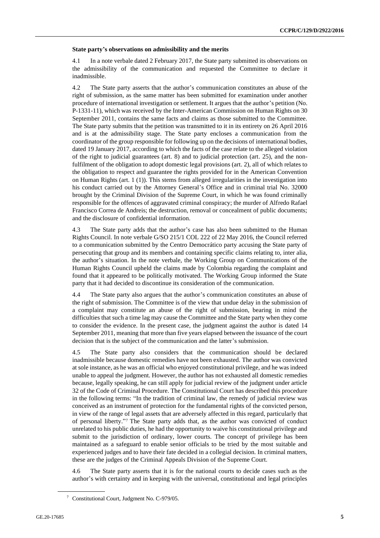#### **State party's observations on admissibility and the merits**

4.1 In a note verbale dated 2 February 2017, the State party submitted its observations on the admissibility of the communication and requested the Committee to declare it inadmissible.

4.2 The State party asserts that the author's communication constitutes an abuse of the right of submission, as the same matter has been submitted for examination under another procedure of international investigation or settlement. It argues that the author's petition (No. P-1331-11), which was received by the Inter-American Commission on Human Rights on 30 September 2011, contains the same facts and claims as those submitted to the Committee. The State party submits that the petition was transmitted to it in its entirety on 26 April 2016 and is at the admissibility stage. The State party encloses a communication from the coordinator of the group responsible for following up on the decisions of international bodies, dated 19 January 2017, according to which the facts of the case relate to the alleged violation of the right to judicial guarantees (art. 8) and to judicial protection (art. 25), and the nonfulfilment of the obligation to adopt domestic legal provisions (art. 2), all of which relates to the obligation to respect and guarantee the rights provided for in the American Convention on Human Rights (art. 1 (1)). This stems from alleged irregularities in the investigation into his conduct carried out by the Attorney General's Office and in criminal trial No. 32000 brought by the Criminal Division of the Supreme Court, in which he was found criminally responsible for the offences of aggravated criminal conspiracy; the murder of Alfredo Rafael Francisco Correa de Andreis; the destruction, removal or concealment of public documents; and the disclosure of confidential information.

4.3 The State party adds that the author's case has also been submitted to the Human Rights Council. In note verbale G/SO 215/1 COL 222 of 22 May 2016, the Council referred to a communication submitted by the Centro Democrático party accusing the State party of persecuting that group and its members and containing specific claims relating to, inter alia, the author's situation. In the note verbale, the Working Group on Communications of the Human Rights Council upheld the claims made by Colombia regarding the complaint and found that it appeared to be politically motivated. The Working Group informed the State party that it had decided to discontinue its consideration of the communication.

4.4 The State party also argues that the author's communication constitutes an abuse of the right of submission. The Committee is of the view that undue delay in the submission of a complaint may constitute an abuse of the right of submission, bearing in mind the difficulties that such a time lag may cause the Committee and the State party when they come to consider the evidence. In the present case, the judgment against the author is dated 14 September 2011, meaning that more than five years elapsed between the issuance of the court decision that is the subject of the communication and the latter's submission.

4.5 The State party also considers that the communication should be declared inadmissible because domestic remedies have not been exhausted. The author was convicted at sole instance, as he was an official who enjoyed constitutional privilege, and he was indeed unable to appeal the judgment. However, the author has not exhausted all domestic remedies because, legally speaking, he can still apply for judicial review of the judgment under article 32 of the Code of Criminal Procedure. The Constitutional Court has described this procedure in the following terms: "In the tradition of criminal law, the remedy of judicial review was conceived as an instrument of protection for the fundamental rights of the convicted person, in view of the range of legal assets that are adversely affected in this regard, particularly that of personal liberty." <sup>7</sup> The State party adds that, as the author was convicted of conduct unrelated to his public duties, he had the opportunity to waive his constitutional privilege and submit to the jurisdiction of ordinary, lower courts. The concept of privilege has been maintained as a safeguard to enable senior officials to be tried by the most suitable and experienced judges and to have their fate decided in a collegial decision. In criminal matters, these are the judges of the Criminal Appeals Division of the Supreme Court.

4.6 The State party asserts that it is for the national courts to decide cases such as the author's with certainty and in keeping with the universal, constitutional and legal principles

<sup>7</sup> Constitutional Court, Judgment No. C-979/05.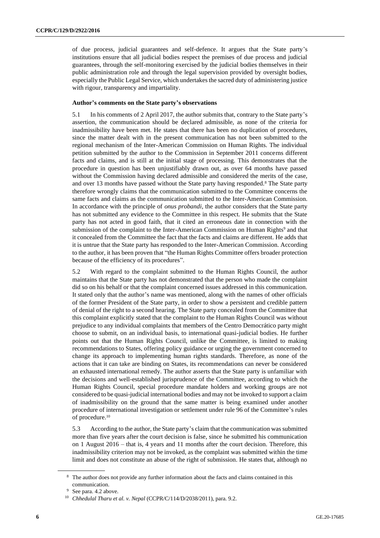of due process, judicial guarantees and self-defence. It argues that the State party's institutions ensure that all judicial bodies respect the premises of due process and judicial guarantees, through the self-monitoring exercised by the judicial bodies themselves in their public administration role and through the legal supervision provided by oversight bodies, especially the Public Legal Service, which undertakes the sacred duty of administering justice with rigour, transparency and impartiality.

#### **Author's comments on the State party's observations**

5.1 In his comments of 2 April 2017, the author submits that, contrary to the State party's assertion, the communication should be declared admissible, as none of the criteria for inadmissibility have been met. He states that there has been no duplication of procedures, since the matter dealt with in the present communication has not been submitted to the regional mechanism of the Inter-American Commission on Human Rights. The individual petition submitted by the author to the Commission in September 2011 concerns different facts and claims, and is still at the initial stage of processing. This demonstrates that the procedure in question has been unjustifiably drawn out, as over 64 months have passed without the Commission having declared admissible and considered the merits of the case, and over 13 months have passed without the State party having responded.<sup>8</sup> The State party therefore wrongly claims that the communication submitted to the Committee concerns the same facts and claims as the communication submitted to the Inter-American Commission. In accordance with the principle of *onus probandi*, the author considers that the State party has not submitted any evidence to the Committee in this respect. He submits that the State party has not acted in good faith, that it cited an erroneous date in connection with the submission of the complaint to the Inter-American Commission on Human Rights<sup>9</sup> and that it concealed from the Committee the fact that the facts and claims are different. He adds that it is untrue that the State party has responded to the Inter-American Commission. According to the author, it has been proven that "the Human Rights Committee offers broader protection because of the efficiency of its procedures".

5.2 With regard to the complaint submitted to the Human Rights Council, the author maintains that the State party has not demonstrated that the person who made the complaint did so on his behalf or that the complaint concerned issues addressed in this communication. It stated only that the author's name was mentioned, along with the names of other officials of the former President of the State party, in order to show a persistent and credible pattern of denial of the right to a second hearing. The State party concealed from the Committee that this complaint explicitly stated that the complaint to the Human Rights Council was without prejudice to any individual complaints that members of the Centro Democrático party might choose to submit, on an individual basis, to international quasi-judicial bodies. He further points out that the Human Rights Council, unlike the Committee, is limited to making recommendations to States, offering policy guidance or urging the government concerned to change its approach to implementing human rights standards. Therefore, as none of the actions that it can take are binding on States, its recommendations can never be considered an exhausted international remedy. The author asserts that the State party is unfamiliar with the decisions and well-established jurisprudence of the Committee, according to which the Human Rights Council, special procedure mandate holders and working groups are not considered to be quasi-judicial international bodies and may not be invoked to support a claim of inadmissibility on the ground that the same matter is being examined under another procedure of international investigation or settlement under rule 96 of the Committee's rules of procedure.<sup>10</sup>

5.3 According to the author, the State party's claim that the communication was submitted more than five years after the court decision is false, since he submitted his communication on 1 August 2016 – that is, 4 years and 11 months after the court decision. Therefore, this inadmissibility criterion may not be invoked, as the complaint was submitted within the time limit and does not constitute an abuse of the right of submission. He states that, although no

<sup>&</sup>lt;sup>8</sup> The author does not provide any further information about the facts and claims contained in this communication.

<sup>&</sup>lt;sup>9</sup> See para. 4.2 above.

<sup>10</sup> *Chhedulal Tharu et al. v. Nepal* (CCPR/C/114/D/2038/2011), para. 9.2.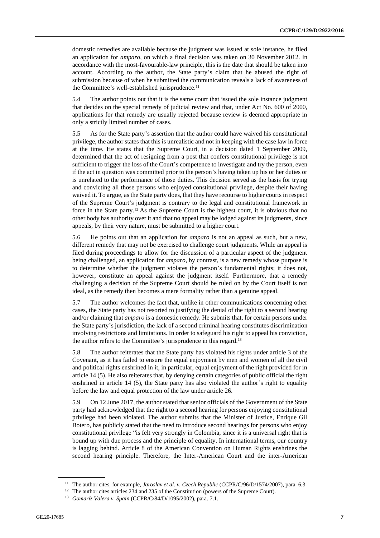domestic remedies are available because the judgment was issued at sole instance, he filed an application for *amparo*, on which a final decision was taken on 30 November 2012. In accordance with the most-favourable-law principle, this is the date that should be taken into account. According to the author, the State party's claim that he abused the right of submission because of when he submitted the communication reveals a lack of awareness of the Committee's well-established jurisprudence.<sup>11</sup>

5.4 The author points out that it is the same court that issued the sole instance judgment that decides on the special remedy of judicial review and that, under Act No. 600 of 2000, applications for that remedy are usually rejected because review is deemed appropriate in only a strictly limited number of cases.

5.5 As for the State party's assertion that the author could have waived his constitutional privilege, the author states that this is unrealistic and not in keeping with the case law in force at the time. He states that the Supreme Court, in a decision dated 1 September 2009, determined that the act of resigning from a post that confers constitutional privilege is not sufficient to trigger the loss of the Court's competence to investigate and try the person, even if the act in question was committed prior to the person's having taken up his or her duties or is unrelated to the performance of those duties. This decision served as the basis for trying and convicting all those persons who enjoyed constitutional privilege, despite their having waived it. To argue, as the State party does, that they have recourse to higher courts in respect of the Supreme Court's judgment is contrary to the legal and constitutional framework in force in the State party.<sup>12</sup> As the Supreme Court is the highest court, it is obvious that no other body has authority over it and that no appeal may be lodged against its judgments, since appeals, by their very nature, must be submitted to a higher court.

5.6 He points out that an application for *amparo* is not an appeal as such, but a new, different remedy that may not be exercised to challenge court judgments. While an appeal is filed during proceedings to allow for the discussion of a particular aspect of the judgment being challenged, an application for *amparo*, by contrast, is a new remedy whose purpose is to determine whether the judgment violates the person's fundamental rights; it does not, however, constitute an appeal against the judgment itself. Furthermore, that a remedy challenging a decision of the Supreme Court should be ruled on by the Court itself is not ideal, as the remedy then becomes a mere formality rather than a genuine appeal.

5.7 The author welcomes the fact that, unlike in other communications concerning other cases, the State party has not resorted to justifying the denial of the right to a second hearing and/or claiming that *amparo* is a domestic remedy. He submits that, for certain persons under the State party's jurisdiction, the lack of a second criminal hearing constitutes discrimination involving restrictions and limitations. In order to safeguard his right to appeal his conviction, the author refers to the Committee's jurisprudence in this regard.<sup>13</sup>

5.8 The author reiterates that the State party has violated his rights under article 3 of the Covenant, as it has failed to ensure the equal enjoyment by men and women of all the civil and political rights enshrined in it, in particular, equal enjoyment of the right provided for in article 14 (5). He also reiterates that, by denying certain categories of public official the right enshrined in article 14 (5), the State party has also violated the author's right to equality before the law and equal protection of the law under article 26.

5.9 On 12 June 2017, the author stated that senior officials of the Government of the State party had acknowledged that the right to a second hearing for persons enjoying constitutional privilege had been violated. The author submits that the Minister of Justice, Enrique Gil Botero, has publicly stated that the need to introduce second hearings for persons who enjoy constitutional privilege "is felt very strongly in Colombia, since it is a universal right that is bound up with due process and the principle of equality. In international terms, our country is lagging behind. Article 8 of the American Convention on Human Rights enshrines the second hearing principle. Therefore, the Inter-American Court and the inter-American

<sup>&</sup>lt;sup>11</sup> The author cites, for example, *Jaroslav et al. v. Czech Republic* (CCPR/C/96/D/1574/2007), para. 6.3.

<sup>&</sup>lt;sup>12</sup> The author cites articles 234 and 235 of the Constitution (powers of the Supreme Court).

<sup>13</sup> *Gomaríz Valera v. Spain* (CCPR/C/84/D/1095/2002), para. 7.1.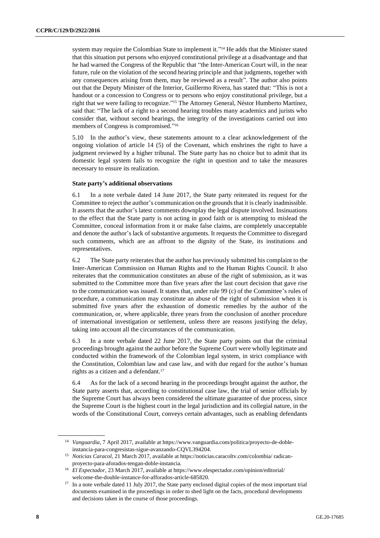system may require the Colombian State to implement it."<sup>14</sup> He adds that the Minister stated that this situation put persons who enjoyed constitutional privilege at a disadvantage and that he had warned the Congress of the Republic that "the Inter-American Court will, in the near future, rule on the violation of the second hearing principle and that judgments, together with any consequences arising from them, may be reviewed as a result". The author also points out that the Deputy Minister of the Interior, Guillermo Rivera, has stated that: "This is not a handout or a concession to Congress or to persons who enjoy constitutional privilege, but a right that we were failing to recognize." <sup>15</sup> The Attorney General, Néstor Humberto Martínez, said that: "The lack of a right to a second hearing troubles many academics and jurists who consider that, without second hearings, the integrity of the investigations carried out into members of Congress is compromised." 16

5.10 In the author's view, these statements amount to a clear acknowledgement of the ongoing violation of article 14 (5) of the Covenant, which enshrines the right to have a judgment reviewed by a higher tribunal. The State party has no choice but to admit that its domestic legal system fails to recognize the right in question and to take the measures necessary to ensure its realization.

#### **State party's additional observations**

6.1 In a note verbale dated 14 June 2017, the State party reiterated its request for the Committee to reject the author's communication on the grounds that it is clearly inadmissible. It asserts that the author's latest comments downplay the legal dispute involved. Insinuations to the effect that the State party is not acting in good faith or is attempting to mislead the Committee, conceal information from it or make false claims, are completely unacceptable and denote the author's lack of substantive arguments. It requests the Committee to disregard such comments, which are an affront to the dignity of the State, its institutions and representatives.

6.2 The State party reiterates that the author has previously submitted his complaint to the Inter-American Commission on Human Rights and to the Human Rights Council. It also reiterates that the communication constitutes an abuse of the right of submission, as it was submitted to the Committee more than five years after the last court decision that gave rise to the communication was issued. It states that, under rule 99 (c) of the Committee's rules of procedure, a communication may constitute an abuse of the right of submission when it is submitted five years after the exhaustion of domestic remedies by the author of the communication, or, where applicable, three years from the conclusion of another procedure of international investigation or settlement, unless there are reasons justifying the delay, taking into account all the circumstances of the communication.

6.3 In a note verbale dated 22 June 2017, the State party points out that the criminal proceedings brought against the author before the Supreme Court were wholly legitimate and conducted within the framework of the Colombian legal system, in strict compliance with the Constitution, Colombian law and case law, and with due regard for the author's human rights as a citizen and a defendant.<sup>17</sup>

6.4 As for the lack of a second hearing in the proceedings brought against the author, the State party asserts that, according to constitutional case law, the trial of senior officials by the Supreme Court has always been considered the ultimate guarantee of due process, since the Supreme Court is the highest court in the legal jurisdiction and its collegial nature, in the words of the Constitutional Court, conveys certain advantages, such as enabling defendants

<sup>&</sup>lt;sup>14</sup> Vanguardia, 7 April 2017, available at https://www.vanguardia.com/politica/proyecto-de-dobleinstancia-para-congresistas-sigue-avanzando-CQVL394204.

<sup>15</sup> *Noticias Caracol*, 21 March 2017, available at https://noticias.caracoltv.com/colombia/ radicanproyecto-para-aforados-tengan-doble-instancia.

<sup>&</sup>lt;sup>16</sup> *El Espectador*, 23 March 2017, available at https://www.elespectador.com/opinion/editorial/ welcome-the-double-instance-for-afforados-article-685820.

<sup>&</sup>lt;sup>17</sup> In a note verbale dated 11 July 2017, the State party enclosed digital copies of the most important trial documents examined in the proceedings in order to shed light on the facts, procedural developments and decisions taken in the course of those proceedings.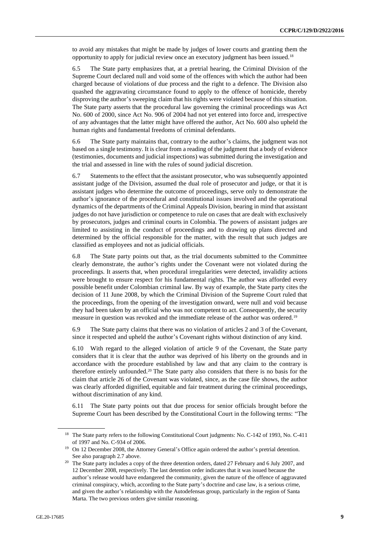to avoid any mistakes that might be made by judges of lower courts and granting them the opportunity to apply for judicial review once an executory judgment has been issued.<sup>18</sup>

6.5 The State party emphasizes that, at a pretrial hearing, the Criminal Division of the Supreme Court declared null and void some of the offences with which the author had been charged because of violations of due process and the right to a defence. The Division also quashed the aggravating circumstance found to apply to the offence of homicide, thereby disproving the author's sweeping claim that his rights were violated because of this situation. The State party asserts that the procedural law governing the criminal proceedings was Act No. 600 of 2000, since Act No. 906 of 2004 had not yet entered into force and, irrespective of any advantages that the latter might have offered the author, Act No. 600 also upheld the human rights and fundamental freedoms of criminal defendants.

6.6 The State party maintains that, contrary to the author's claims, the judgment was not based on a single testimony. It is clear from a reading of the judgment that a body of evidence (testimonies, documents and judicial inspections) was submitted during the investigation and the trial and assessed in line with the rules of sound judicial discretion.

6.7 Statements to the effect that the assistant prosecutor, who was subsequently appointed assistant judge of the Division, assumed the dual role of prosecutor and judge, or that it is assistant judges who determine the outcome of proceedings, serve only to demonstrate the author's ignorance of the procedural and constitutional issues involved and the operational dynamics of the departments of the Criminal Appeals Division, bearing in mind that assistant judges do not have jurisdiction or competence to rule on cases that are dealt with exclusively by prosecutors, judges and criminal courts in Colombia. The powers of assistant judges are limited to assisting in the conduct of proceedings and to drawing up plans directed and determined by the official responsible for the matter, with the result that such judges are classified as employees and not as judicial officials.

6.8 The State party points out that, as the trial documents submitted to the Committee clearly demonstrate, the author's rights under the Covenant were not violated during the proceedings. It asserts that, when procedural irregularities were detected, invalidity actions were brought to ensure respect for his fundamental rights. The author was afforded every possible benefit under Colombian criminal law. By way of example, the State party cites the decision of 11 June 2008, by which the Criminal Division of the Supreme Court ruled that the proceedings, from the opening of the investigation onward, were null and void because they had been taken by an official who was not competent to act. Consequently, the security measure in question was revoked and the immediate release of the author was ordered.<sup>19</sup>

6.9 The State party claims that there was no violation of articles 2 and 3 of the Covenant, since it respected and upheld the author's Covenant rights without distinction of any kind.

6.10 With regard to the alleged violation of article 9 of the Covenant, the State party considers that it is clear that the author was deprived of his liberty on the grounds and in accordance with the procedure established by law and that any claim to the contrary is therefore entirely unfounded.<sup>20</sup> The State party also considers that there is no basis for the claim that article 26 of the Covenant was violated, since, as the case file shows, the author was clearly afforded dignified, equitable and fair treatment during the criminal proceedings, without discrimination of any kind.

6.11 The State party points out that due process for senior officials brought before the Supreme Court has been described by the Constitutional Court in the following terms: "The

<sup>&</sup>lt;sup>18</sup> The State party refers to the following Constitutional Court judgments: No. C-142 of 1993, No. C-411 of 1997 and No. C-934 of 2006.

<sup>&</sup>lt;sup>19</sup> On 12 December 2008, the Attorney General's Office again ordered the author's pretrial detention. See also paragraph 2.7 above.

<sup>&</sup>lt;sup>20</sup> The State party includes a copy of the three detention orders, dated 27 February and 6 July 2007, and 12 December 2008, respectively. The last detention order indicates that it was issued because the author's release would have endangered the community, given the nature of the offence of aggravated criminal conspiracy, which, according to the State party's doctrine and case law, is a serious crime, and given the author's relationship with the Autodefensas group, particularly in the region of Santa Marta. The two previous orders give similar reasoning.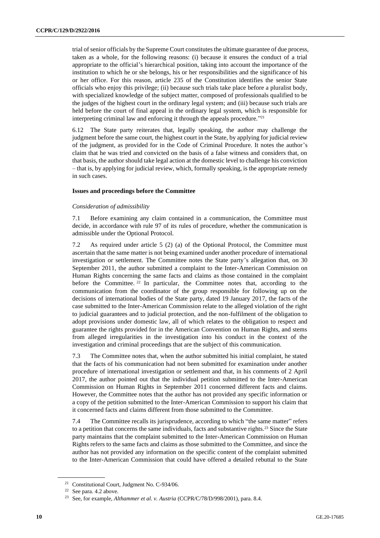trial of senior officials by the Supreme Court constitutes the ultimate guarantee of due process, taken as a whole, for the following reasons: (i) because it ensures the conduct of a trial appropriate to the official's hierarchical position, taking into account the importance of the institution to which he or she belongs, his or her responsibilities and the significance of his or her office. For this reason, article 235 of the Constitution identifies the senior State officials who enjoy this privilege; (ii) because such trials take place before a pluralist body, with specialized knowledge of the subject matter, composed of professionals qualified to be the judges of the highest court in the ordinary legal system; and (iii) because such trials are held before the court of final appeal in the ordinary legal system, which is responsible for interpreting criminal law and enforcing it through the appeals procedure." 21

6.12 The State party reiterates that, legally speaking, the author may challenge the judgment before the same court, the highest court in the State, by applying for judicial review of the judgment, as provided for in the Code of Criminal Procedure. It notes the author's claim that he was tried and convicted on the basis of a false witness and considers that, on that basis, the author should take legal action at the domestic level to challenge his conviction – that is, by applying for judicial review, which, formally speaking, is the appropriate remedy in such cases.

#### **Issues and proceedings before the Committee**

#### *Consideration of admissibility*

7.1 Before examining any claim contained in a communication, the Committee must decide, in accordance with rule 97 of its rules of procedure, whether the communication is admissible under the Optional Protocol.

7.2 As required under article 5 (2) (a) of the Optional Protocol, the Committee must ascertain that the same matter is not being examined under another procedure of international investigation or settlement. The Committee notes the State party's allegation that, on 30 September 2011, the author submitted a complaint to the Inter-American Commission on Human Rights concerning the same facts and claims as those contained in the complaint before the Committee. <sup>22</sup> In particular, the Committee notes that, according to the communication from the coordinator of the group responsible for following up on the decisions of international bodies of the State party, dated 19 January 2017, the facts of the case submitted to the Inter-American Commission relate to the alleged violation of the right to judicial guarantees and to judicial protection, and the non-fulfilment of the obligation to adopt provisions under domestic law, all of which relates to the obligation to respect and guarantee the rights provided for in the American Convention on Human Rights, and stems from alleged irregularities in the investigation into his conduct in the context of the investigation and criminal proceedings that are the subject of this communication.

7.3 The Committee notes that, when the author submitted his initial complaint, he stated that the facts of his communication had not been submitted for examination under another procedure of international investigation or settlement and that, in his comments of 2 April 2017, the author pointed out that the individual petition submitted to the Inter-American Commission on Human Rights in September 2011 concerned different facts and claims. However, the Committee notes that the author has not provided any specific information or a copy of the petition submitted to the Inter-American Commission to support his claim that it concerned facts and claims different from those submitted to the Committee.

7.4 The Committee recalls its jurisprudence, according to which "the same matter" refers to a petition that concerns the same individuals, facts and substantive rights.<sup>23</sup> Since the State party maintains that the complaint submitted to the Inter-American Commission on Human Rights refers to the same facts and claims as those submitted to the Committee, and since the author has not provided any information on the specific content of the complaint submitted to the Inter-American Commission that could have offered a detailed rebuttal to the State

<sup>21</sup> Constitutional Court, Judgment No. C-934/06.

<sup>22</sup> See para. 4.2 above.

<sup>23</sup> See, for example, *Althammer et al. v. Austria* (CCPR/C/78/D/998/2001), para. 8.4.